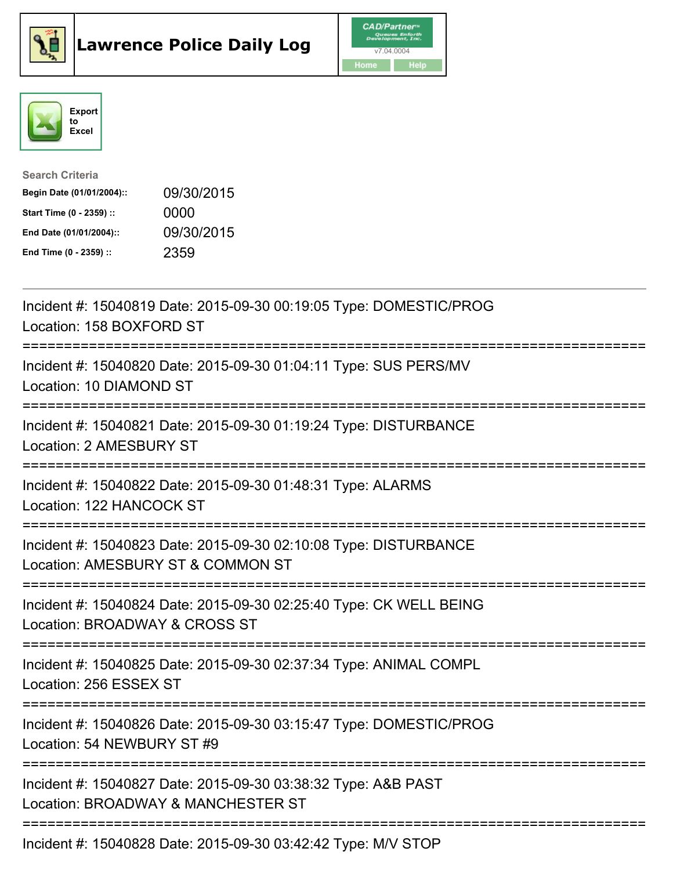





| <b>Search Criteria</b>    |            |
|---------------------------|------------|
| Begin Date (01/01/2004):: | 09/30/2015 |
| Start Time (0 - 2359) ::  | 0000       |
| End Date (01/01/2004)::   | 09/30/2015 |
| End Time (0 - 2359) ::    | 2359       |

| Incident #: 15040819 Date: 2015-09-30 00:19:05 Type: DOMESTIC/PROG<br>Location: 158 BOXFORD ST<br>:==========================        |
|--------------------------------------------------------------------------------------------------------------------------------------|
| Incident #: 15040820 Date: 2015-09-30 01:04:11 Type: SUS PERS/MV<br>Location: 10 DIAMOND ST                                          |
| Incident #: 15040821 Date: 2015-09-30 01:19:24 Type: DISTURBANCE<br>Location: 2 AMESBURY ST                                          |
| Incident #: 15040822 Date: 2015-09-30 01:48:31 Type: ALARMS<br>Location: 122 HANCOCK ST                                              |
| Incident #: 15040823 Date: 2015-09-30 02:10:08 Type: DISTURBANCE<br>Location: AMESBURY ST & COMMON ST<br>=========================== |
| Incident #: 15040824 Date: 2015-09-30 02:25:40 Type: CK WELL BEING<br>Location: BROADWAY & CROSS ST<br>----------------------        |
| Incident #: 15040825 Date: 2015-09-30 02:37:34 Type: ANIMAL COMPL<br>Location: 256 ESSEX ST                                          |
| Incident #: 15040826 Date: 2015-09-30 03:15:47 Type: DOMESTIC/PROG<br>Location: 54 NEWBURY ST #9                                     |
| Incident #: 15040827 Date: 2015-09-30 03:38:32 Type: A&B PAST<br>Location: BROADWAY & MANCHESTER ST                                  |
| Incident #: 15040828 Date: 2015-09-30 03:42:42 Type: M/V STOP                                                                        |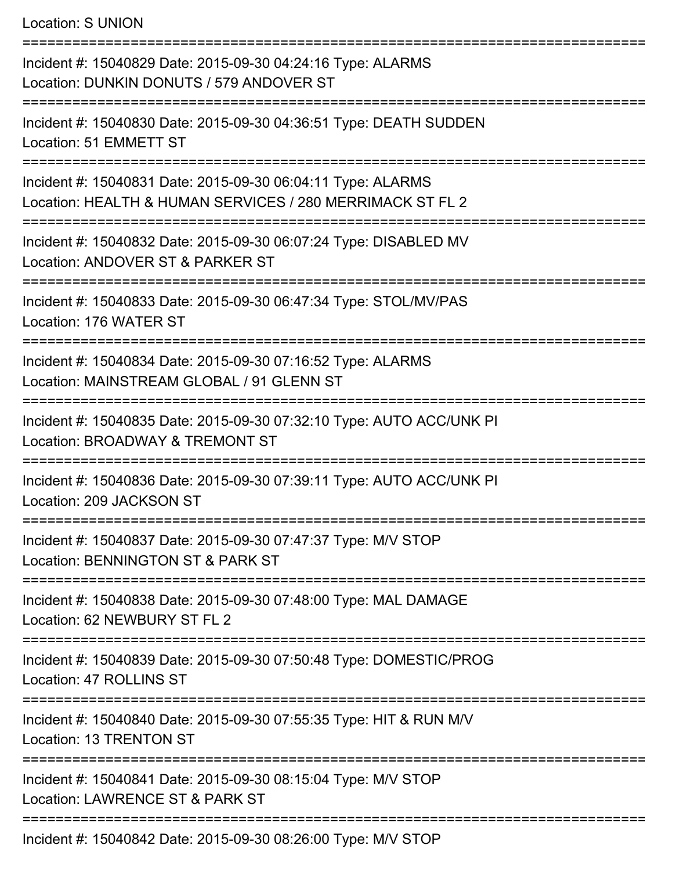Location: S UNION =========================================================================== Incident #: 15040829 Date: 2015-09-30 04:24:16 Type: ALARMS Location: DUNKIN DONUTS / 579 ANDOVER ST =========================================================================== Incident #: 15040830 Date: 2015-09-30 04:36:51 Type: DEATH SUDDEN Location: 51 EMMETT ST =========================================================================== Incident #: 15040831 Date: 2015-09-30 06:04:11 Type: ALARMS Location: HEALTH & HUMAN SERVICES / 280 MERRIMACK ST FL 2 =========================================================================== Incident #: 15040832 Date: 2015-09-30 06:07:24 Type: DISABLED MV Location: ANDOVER ST & PARKER ST ===================================== Incident #: 15040833 Date: 2015-09-30 06:47:34 Type: STOL/MV/PAS Location: 176 WATER ST =========================================================================== Incident #: 15040834 Date: 2015-09-30 07:16:52 Type: ALARMS Location: MAINSTREAM GLOBAL / 91 GLENN ST =========================================================================== Incident #: 15040835 Date: 2015-09-30 07:32:10 Type: AUTO ACC/UNK PI Location: BROADWAY & TREMONT ST =========================================================================== Incident #: 15040836 Date: 2015-09-30 07:39:11 Type: AUTO ACC/UNK PI Location: 209 JACKSON ST =========================================================================== Incident #: 15040837 Date: 2015-09-30 07:47:37 Type: M/V STOP Location: BENNINGTON ST & PARK ST =========================================================================== Incident #: 15040838 Date: 2015-09-30 07:48:00 Type: MAL DAMAGE Location: 62 NEWBURY ST FL 2 =========================================================================== Incident #: 15040839 Date: 2015-09-30 07:50:48 Type: DOMESTIC/PROG Location: 47 ROLLINS ST =========================================================================== Incident #: 15040840 Date: 2015-09-30 07:55:35 Type: HIT & RUN M/V Location: 13 TRENTON ST =========================================================================== Incident #: 15040841 Date: 2015-09-30 08:15:04 Type: M/V STOP Location: LAWRENCE ST & PARK ST ===========================================================================

Incident #: 15040842 Date: 2015-09-30 08:26:00 Type: M/V STOP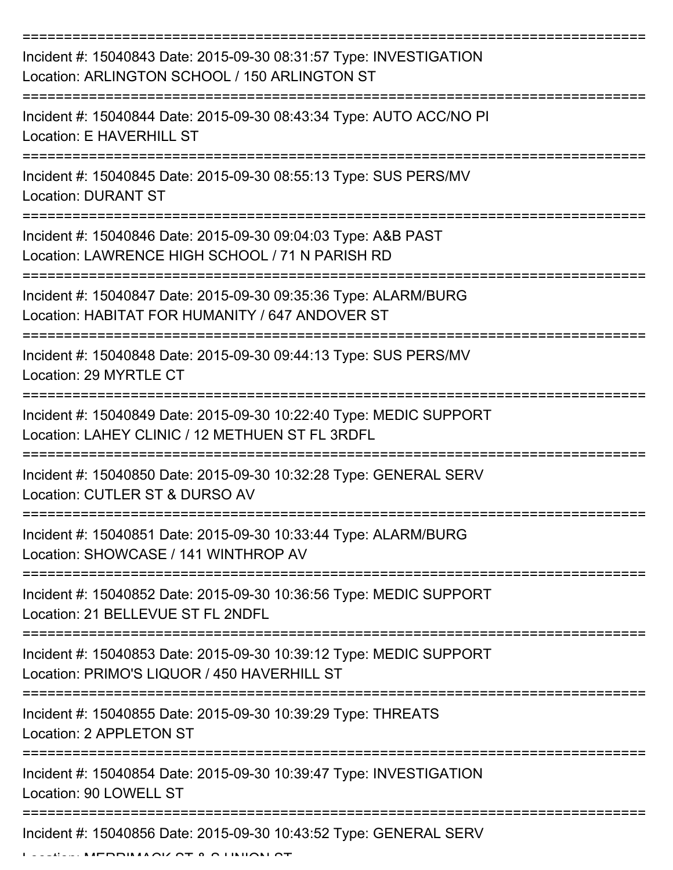| Incident #: 15040843 Date: 2015-09-30 08:31:57 Type: INVESTIGATION<br>Location: ARLINGTON SCHOOL / 150 ARLINGTON ST                                                                                                                                                                                                                                                                                                                                                                                                                                                                                                                                                                   |
|---------------------------------------------------------------------------------------------------------------------------------------------------------------------------------------------------------------------------------------------------------------------------------------------------------------------------------------------------------------------------------------------------------------------------------------------------------------------------------------------------------------------------------------------------------------------------------------------------------------------------------------------------------------------------------------|
| Incident #: 15040844 Date: 2015-09-30 08:43:34 Type: AUTO ACC/NO PI<br>Location: E HAVERHILL ST                                                                                                                                                                                                                                                                                                                                                                                                                                                                                                                                                                                       |
| Incident #: 15040845 Date: 2015-09-30 08:55:13 Type: SUS PERS/MV<br><b>Location: DURANT ST</b>                                                                                                                                                                                                                                                                                                                                                                                                                                                                                                                                                                                        |
| Incident #: 15040846 Date: 2015-09-30 09:04:03 Type: A&B PAST<br>Location: LAWRENCE HIGH SCHOOL / 71 N PARISH RD                                                                                                                                                                                                                                                                                                                                                                                                                                                                                                                                                                      |
| Incident #: 15040847 Date: 2015-09-30 09:35:36 Type: ALARM/BURG<br>Location: HABITAT FOR HUMANITY / 647 ANDOVER ST<br>================================                                                                                                                                                                                                                                                                                                                                                                                                                                                                                                                                |
| Incident #: 15040848 Date: 2015-09-30 09:44:13 Type: SUS PERS/MV<br>Location: 29 MYRTLE CT                                                                                                                                                                                                                                                                                                                                                                                                                                                                                                                                                                                            |
| Incident #: 15040849 Date: 2015-09-30 10:22:40 Type: MEDIC SUPPORT<br>Location: LAHEY CLINIC / 12 METHUEN ST FL 3RDFL                                                                                                                                                                                                                                                                                                                                                                                                                                                                                                                                                                 |
| Incident #: 15040850 Date: 2015-09-30 10:32:28 Type: GENERAL SERV<br>Location: CUTLER ST & DURSO AV                                                                                                                                                                                                                                                                                                                                                                                                                                                                                                                                                                                   |
| Incident #: 15040851 Date: 2015-09-30 10:33:44 Type: ALARM/BURG<br>Location: SHOWCASE / 141 WINTHROP AV                                                                                                                                                                                                                                                                                                                                                                                                                                                                                                                                                                               |
| Incident #: 15040852 Date: 2015-09-30 10:36:56 Type: MEDIC SUPPORT<br>Location: 21 BELLEVUE ST FL 2NDFL                                                                                                                                                                                                                                                                                                                                                                                                                                                                                                                                                                               |
| Incident #: 15040853 Date: 2015-09-30 10:39:12 Type: MEDIC SUPPORT<br>Location: PRIMO'S LIQUOR / 450 HAVERHILL ST                                                                                                                                                                                                                                                                                                                                                                                                                                                                                                                                                                     |
| Incident #: 15040855 Date: 2015-09-30 10:39:29 Type: THREATS<br>Location: 2 APPLETON ST                                                                                                                                                                                                                                                                                                                                                                                                                                                                                                                                                                                               |
| Incident #: 15040854 Date: 2015-09-30 10:39:47 Type: INVESTIGATION<br>Location: 90 LOWELL ST                                                                                                                                                                                                                                                                                                                                                                                                                                                                                                                                                                                          |
| Incident #: 15040856 Date: 2015-09-30 10:43:52 Type: GENERAL SERV<br>$\begin{array}{c} \n\text{minimize} \\ \text{minimize} \\ \text{minimize} \\ \text{minimize} \\ \text{minimize} \\ \text{minimize} \\ \text{minimize} \\ \text{minimize} \\ \text{minimize} \\ \text{minimize} \\ \text{minimize} \\ \text{minimize} \\ \text{minimize} \\ \text{minimize} \\ \text{minimize} \\ \text{minimize} \\ \text{minimize} \\ \text{minimize} \\ \text{minimize} \\ \text{minimize} \\ \text{minimize} \\ \text{minimize} \\ \text{minimize} \\ \text{minimize} \\ \text{minimize} \\ \text{minimize} \\ \text{minimize} \\ \text{minimize} \\ \text{minimize} \\ \text{minimize} \\ \$ |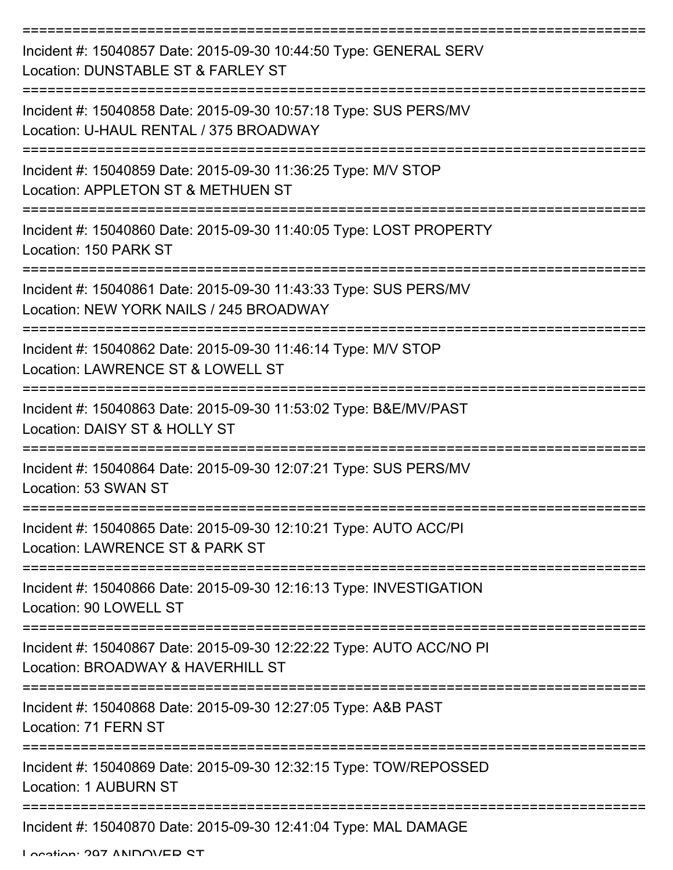| Incident #: 15040857 Date: 2015-09-30 10:44:50 Type: GENERAL SERV<br>Location: DUNSTABLE ST & FARLEY ST     |
|-------------------------------------------------------------------------------------------------------------|
| Incident #: 15040858 Date: 2015-09-30 10:57:18 Type: SUS PERS/MV<br>Location: U-HAUL RENTAL / 375 BROADWAY  |
| Incident #: 15040859 Date: 2015-09-30 11:36:25 Type: M/V STOP<br>Location: APPLETON ST & METHUEN ST         |
| Incident #: 15040860 Date: 2015-09-30 11:40:05 Type: LOST PROPERTY<br>Location: 150 PARK ST                 |
| Incident #: 15040861 Date: 2015-09-30 11:43:33 Type: SUS PERS/MV<br>Location: NEW YORK NAILS / 245 BROADWAY |
| Incident #: 15040862 Date: 2015-09-30 11:46:14 Type: M/V STOP<br>Location: LAWRENCE ST & LOWELL ST          |
| Incident #: 15040863 Date: 2015-09-30 11:53:02 Type: B&E/MV/PAST<br>Location: DAISY ST & HOLLY ST           |
| Incident #: 15040864 Date: 2015-09-30 12:07:21 Type: SUS PERS/MV<br>Location: 53 SWAN ST                    |
| Incident #: 15040865 Date: 2015-09-30 12:10:21 Type: AUTO ACC/PI<br>Location: LAWRENCE ST & PARK ST         |
| Incident #: 15040866 Date: 2015-09-30 12:16:13 Type: INVESTIGATION<br>Location: 90 LOWELL ST                |
| Incident #: 15040867 Date: 2015-09-30 12:22:22 Type: AUTO ACC/NO PI<br>Location: BROADWAY & HAVERHILL ST    |
| Incident #: 15040868 Date: 2015-09-30 12:27:05 Type: A&B PAST<br>Location: 71 FERN ST                       |
| Incident #: 15040869 Date: 2015-09-30 12:32:15 Type: TOW/REPOSSED<br><b>Location: 1 AUBURN ST</b>           |
| Incident #: 15040870 Date: 2015-09-30 12:41:04 Type: MAL DAMAGE                                             |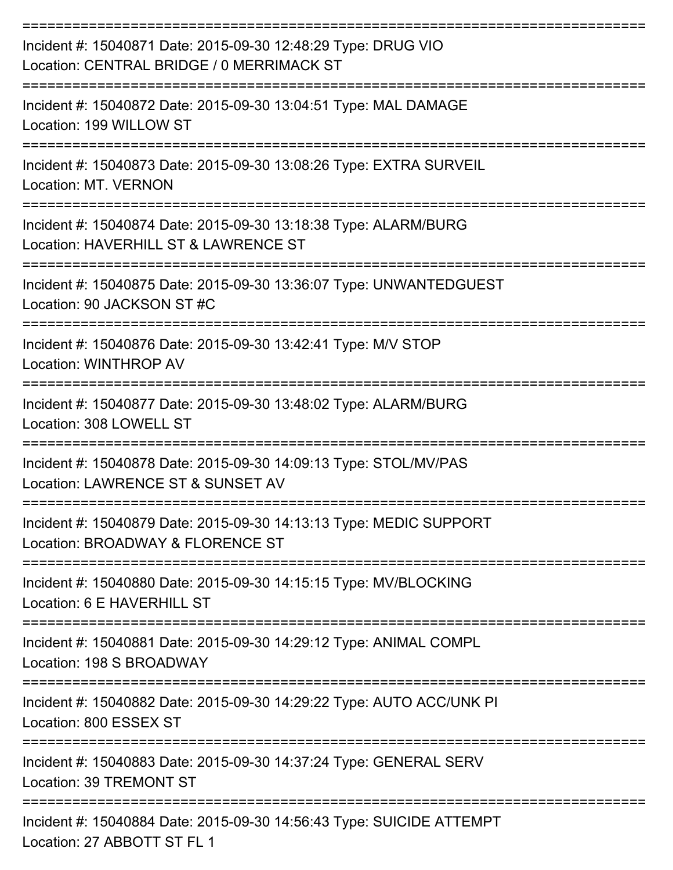| Incident #: 15040871 Date: 2015-09-30 12:48:29 Type: DRUG VIO<br>Location: CENTRAL BRIDGE / 0 MERRIMACK ST                 |
|----------------------------------------------------------------------------------------------------------------------------|
| Incident #: 15040872 Date: 2015-09-30 13:04:51 Type: MAL DAMAGE<br>Location: 199 WILLOW ST                                 |
| Incident #: 15040873 Date: 2015-09-30 13:08:26 Type: EXTRA SURVEIL<br>Location: MT. VERNON                                 |
| Incident #: 15040874 Date: 2015-09-30 13:18:38 Type: ALARM/BURG<br>Location: HAVERHILL ST & LAWRENCE ST                    |
| Incident #: 15040875 Date: 2015-09-30 13:36:07 Type: UNWANTEDGUEST<br>Location: 90 JACKSON ST #C                           |
| Incident #: 15040876 Date: 2015-09-30 13:42:41 Type: M/V STOP<br>Location: WINTHROP AV                                     |
| Incident #: 15040877 Date: 2015-09-30 13:48:02 Type: ALARM/BURG<br>Location: 308 LOWELL ST                                 |
| =================<br>Incident #: 15040878 Date: 2015-09-30 14:09:13 Type: STOL/MV/PAS<br>Location: LAWRENCE ST & SUNSET AV |
| Incident #: 15040879 Date: 2015-09-30 14:13:13 Type: MEDIC SUPPORT<br>Location: BROADWAY & FLORENCE ST                     |
| Incident #: 15040880 Date: 2015-09-30 14:15:15 Type: MV/BLOCKING<br>Location: 6 E HAVERHILL ST                             |
| Incident #: 15040881 Date: 2015-09-30 14:29:12 Type: ANIMAL COMPL<br>Location: 198 S BROADWAY                              |
| Incident #: 15040882 Date: 2015-09-30 14:29:22 Type: AUTO ACC/UNK PI<br>Location: 800 ESSEX ST                             |
| Incident #: 15040883 Date: 2015-09-30 14:37:24 Type: GENERAL SERV<br>Location: 39 TREMONT ST                               |
| Incident #: 15040884 Date: 2015-09-30 14:56:43 Type: SUICIDE ATTEMPT<br>Location: 27 ABBOTT ST FL 1                        |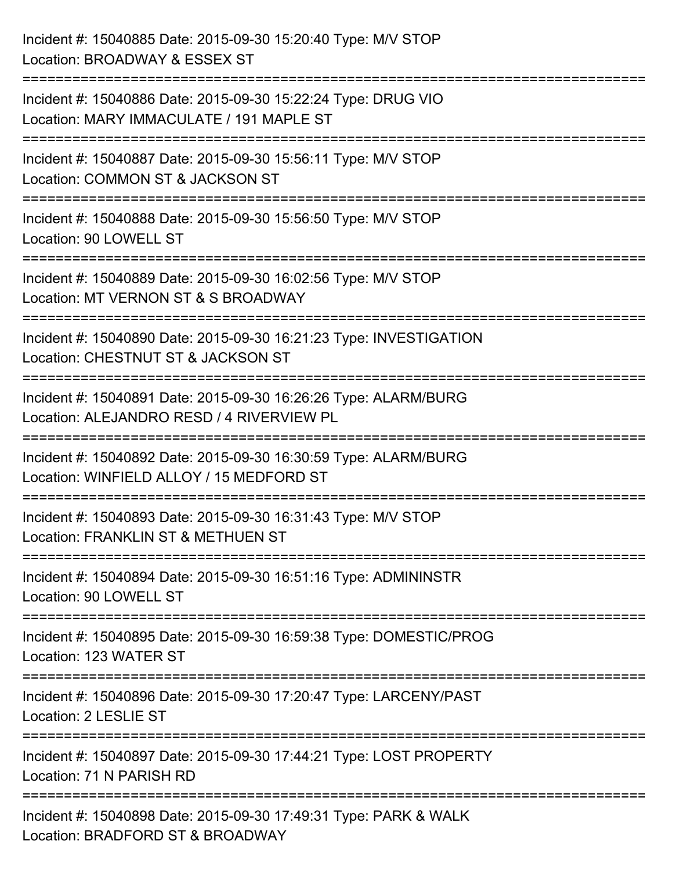| Incident #: 15040885 Date: 2015-09-30 15:20:40 Type: M/V STOP<br>Location: BROADWAY & ESSEX ST                                      |
|-------------------------------------------------------------------------------------------------------------------------------------|
| Incident #: 15040886 Date: 2015-09-30 15:22:24 Type: DRUG VIO<br>Location: MARY IMMACULATE / 191 MAPLE ST<br>:===================== |
| Incident #: 15040887 Date: 2015-09-30 15:56:11 Type: M/V STOP<br>Location: COMMON ST & JACKSON ST                                   |
| Incident #: 15040888 Date: 2015-09-30 15:56:50 Type: M/V STOP<br>Location: 90 LOWELL ST                                             |
| Incident #: 15040889 Date: 2015-09-30 16:02:56 Type: M/V STOP<br>Location: MT VERNON ST & S BROADWAY                                |
| Incident #: 15040890 Date: 2015-09-30 16:21:23 Type: INVESTIGATION<br>Location: CHESTNUT ST & JACKSON ST                            |
| -------------------<br>Incident #: 15040891 Date: 2015-09-30 16:26:26 Type: ALARM/BURG<br>Location: ALEJANDRO RESD / 4 RIVERVIEW PL |
| Incident #: 15040892 Date: 2015-09-30 16:30:59 Type: ALARM/BURG<br>Location: WINFIELD ALLOY / 15 MEDFORD ST                         |
| Incident #: 15040893 Date: 2015-09-30 16:31:43 Type: M/V STOP<br>Location: FRANKLIN ST & METHUEN ST                                 |
| Incident #: 15040894 Date: 2015-09-30 16:51:16 Type: ADMININSTR<br>Location: 90 LOWELL ST                                           |
| Incident #: 15040895 Date: 2015-09-30 16:59:38 Type: DOMESTIC/PROG<br>Location: 123 WATER ST                                        |
| Incident #: 15040896 Date: 2015-09-30 17:20:47 Type: LARCENY/PAST<br>Location: 2 LESLIE ST                                          |
| Incident #: 15040897 Date: 2015-09-30 17:44:21 Type: LOST PROPERTY<br>Location: 71 N PARISH RD                                      |
| Incident #: 15040898 Date: 2015-09-30 17:49:31 Type: PARK & WALK<br>Location: BRADFORD ST & BROADWAY                                |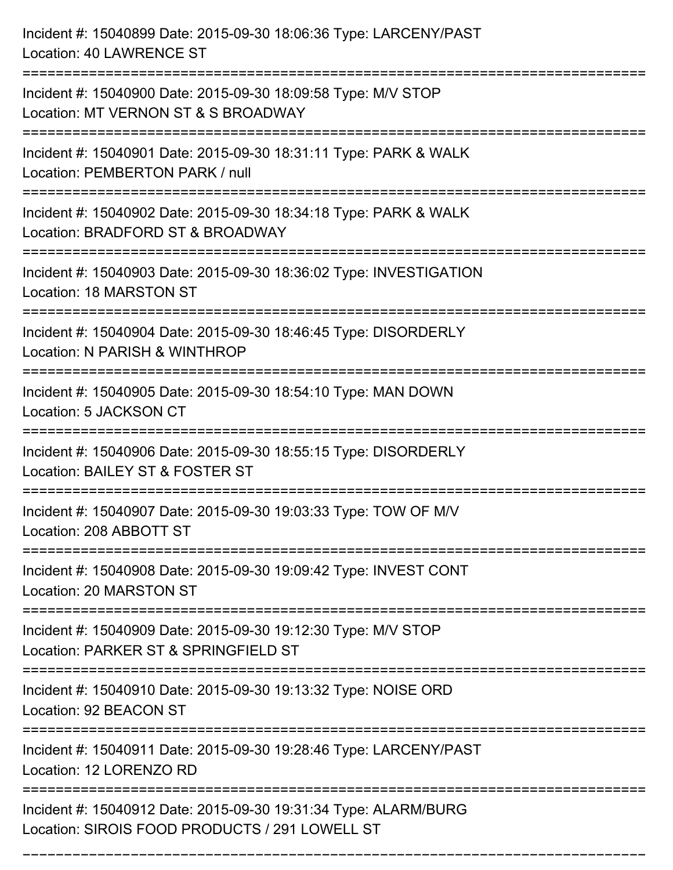| Incident #: 15040899 Date: 2015-09-30 18:06:36 Type: LARCENY/PAST<br>Location: 40 LAWRENCE ST                             |
|---------------------------------------------------------------------------------------------------------------------------|
| Incident #: 15040900 Date: 2015-09-30 18:09:58 Type: M/V STOP<br>Location: MT VERNON ST & S BROADWAY                      |
| Incident #: 15040901 Date: 2015-09-30 18:31:11 Type: PARK & WALK<br>Location: PEMBERTON PARK / null                       |
| Incident #: 15040902 Date: 2015-09-30 18:34:18 Type: PARK & WALK<br>Location: BRADFORD ST & BROADWAY<br>:================ |
| Incident #: 15040903 Date: 2015-09-30 18:36:02 Type: INVESTIGATION<br>Location: 18 MARSTON ST<br>---------------------    |
| Incident #: 15040904 Date: 2015-09-30 18:46:45 Type: DISORDERLY<br>Location: N PARISH & WINTHROP                          |
| Incident #: 15040905 Date: 2015-09-30 18:54:10 Type: MAN DOWN<br>Location: 5 JACKSON CT                                   |
| Incident #: 15040906 Date: 2015-09-30 18:55:15 Type: DISORDERLY<br>Location: BAILEY ST & FOSTER ST                        |
| Incident #: 15040907 Date: 2015-09-30 19:03:33 Type: TOW OF M/V<br>Location: 208 ABBOTT ST                                |
| Incident #: 15040908 Date: 2015-09-30 19:09:42 Type: INVEST CONT<br>Location: 20 MARSTON ST                               |
| Incident #: 15040909 Date: 2015-09-30 19:12:30 Type: M/V STOP<br>Location: PARKER ST & SPRINGFIELD ST                     |
| Incident #: 15040910 Date: 2015-09-30 19:13:32 Type: NOISE ORD<br>Location: 92 BEACON ST                                  |
| Incident #: 15040911 Date: 2015-09-30 19:28:46 Type: LARCENY/PAST<br>Location: 12 LORENZO RD                              |
| Incident #: 15040912 Date: 2015-09-30 19:31:34 Type: ALARM/BURG<br>Location: SIROIS FOOD PRODUCTS / 291 LOWELL ST         |

===========================================================================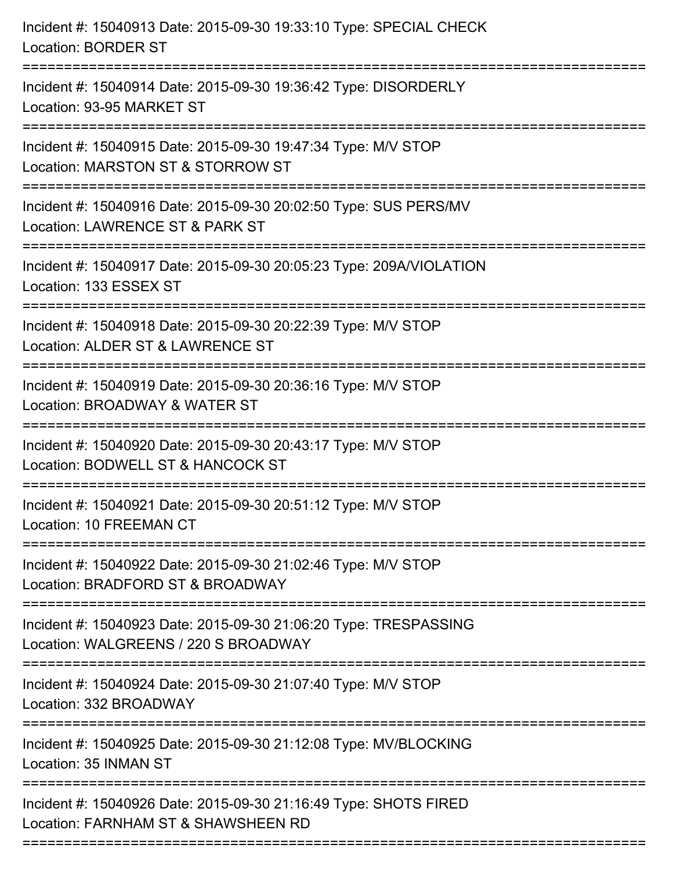| Incident #: 15040913 Date: 2015-09-30 19:33:10 Type: SPECIAL CHECK<br><b>Location: BORDER ST</b>                              |
|-------------------------------------------------------------------------------------------------------------------------------|
| Incident #: 15040914 Date: 2015-09-30 19:36:42 Type: DISORDERLY<br>Location: 93-95 MARKET ST                                  |
| Incident #: 15040915 Date: 2015-09-30 19:47:34 Type: M/V STOP<br>Location: MARSTON ST & STORROW ST                            |
| Incident #: 15040916 Date: 2015-09-30 20:02:50 Type: SUS PERS/MV<br>Location: LAWRENCE ST & PARK ST                           |
| Incident #: 15040917 Date: 2015-09-30 20:05:23 Type: 209A/VIOLATION<br>Location: 133 ESSEX ST                                 |
| Incident #: 15040918 Date: 2015-09-30 20:22:39 Type: M/V STOP<br>Location: ALDER ST & LAWRENCE ST<br>---------------------    |
| Incident #: 15040919 Date: 2015-09-30 20:36:16 Type: M/V STOP<br>Location: BROADWAY & WATER ST                                |
| Incident #: 15040920 Date: 2015-09-30 20:43:17 Type: M/V STOP<br>Location: BODWELL ST & HANCOCK ST                            |
| Incident #: 15040921 Date: 2015-09-30 20:51:12 Type: M/V STOP<br>Location: 10 FREEMAN CT                                      |
| Incident #: 15040922 Date: 2015-09-30 21:02:46 Type: M/V STOP<br>Location: BRADFORD ST & BROADWAY                             |
| Incident #: 15040923 Date: 2015-09-30 21:06:20 Type: TRESPASSING<br>Location: WALGREENS / 220 S BROADWAY                      |
| ----------------------------------<br>Incident #: 15040924 Date: 2015-09-30 21:07:40 Type: M/V STOP<br>Location: 332 BROADWAY |
| Incident #: 15040925 Date: 2015-09-30 21:12:08 Type: MV/BLOCKING<br>Location: 35 INMAN ST                                     |
| Incident #: 15040926 Date: 2015-09-30 21:16:49 Type: SHOTS FIRED<br>Location: FARNHAM ST & SHAWSHEEN RD                       |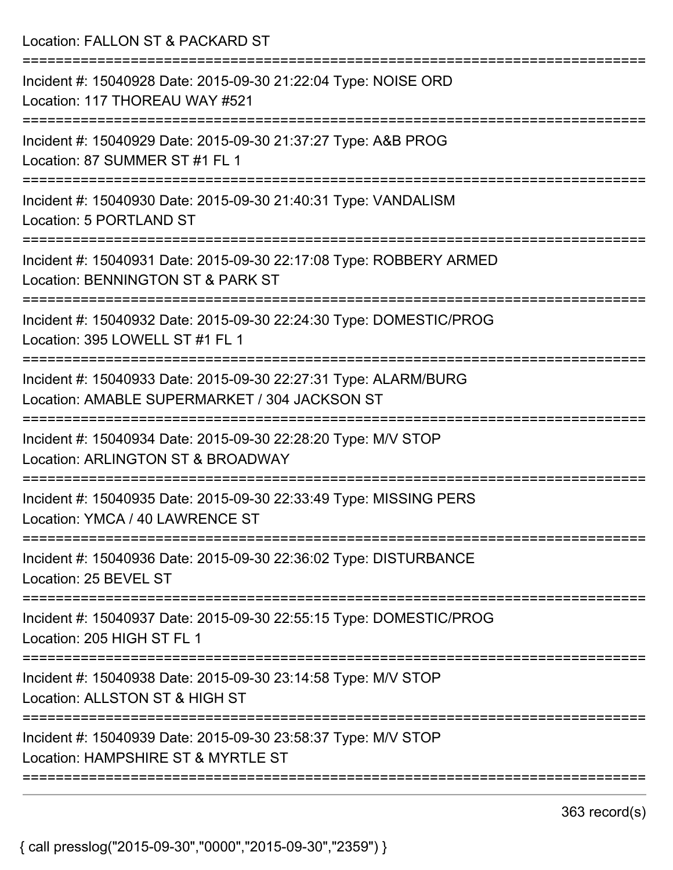Location: FALLON ST & PACKARD ST =========================================================================== Incident #: 15040928 Date: 2015-09-30 21:22:04 Type: NOISE ORD Location: 117 THOREAU WAY #521 =========================================================================== Incident #: 15040929 Date: 2015-09-30 21:37:27 Type: A&B PROG Location: 87 SUMMER ST #1 FL 1 =========================================================================== Incident #: 15040930 Date: 2015-09-30 21:40:31 Type: VANDALISM Location: 5 PORTLAND ST =========================================================================== Incident #: 15040931 Date: 2015-09-30 22:17:08 Type: ROBBERY ARMED Location: BENNINGTON ST & PARK ST =========================================================================== Incident #: 15040932 Date: 2015-09-30 22:24:30 Type: DOMESTIC/PROG Location: 395 LOWELL ST #1 FL 1 =========================================================================== Incident #: 15040933 Date: 2015-09-30 22:27:31 Type: ALARM/BURG Location: AMABLE SUPERMARKET / 304 JACKSON ST =========================================================================== Incident #: 15040934 Date: 2015-09-30 22:28:20 Type: M/V STOP Location: ARLINGTON ST & BROADWAY =========================================================================== Incident #: 15040935 Date: 2015-09-30 22:33:49 Type: MISSING PERS Location: YMCA / 40 LAWRENCE ST =========================================================================== Incident #: 15040936 Date: 2015-09-30 22:36:02 Type: DISTURBANCE Location: 25 BEVEL ST =========================================================================== Incident #: 15040937 Date: 2015-09-30 22:55:15 Type: DOMESTIC/PROG Location: 205 HIGH ST FL 1 =========================================================================== Incident #: 15040938 Date: 2015-09-30 23:14:58 Type: M/V STOP Location: ALL STON ST & HIGH ST =========================================================================== Incident #: 15040939 Date: 2015-09-30 23:58:37 Type: M/V STOP Location: HAMPSHIRE ST & MYRTLE ST ===========================================================================